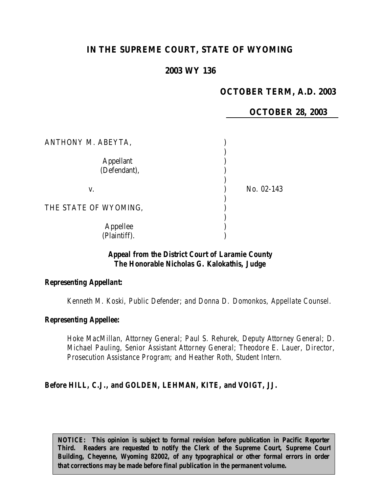# **IN THE SUPREME COURT, STATE OF WYOMING**

# **2003 WY 136**

# **OCTOBER TERM, A.D. 2003**

## **OCTOBER 28, 2003**

| ANTHONY M. ABEYTA,               |            |
|----------------------------------|------------|
| <b>Appellant</b><br>(Defendant), |            |
| V.                               | No. 02-143 |
| THE STATE OF WYOMING,            |            |
| Appellee<br>(Plaintiff).         |            |

### *Appeal from the District Court of Laramie County The Honorable Nicholas G. Kalokathis, Judge*

#### *Representing Appellant:*

*Kenneth M. Koski, Public Defender; and Donna D. Domonkos, Appellate Counsel.*

#### *Representing Appellee:*

*Hoke MacMillan, Attorney General; Paul S. Rehurek, Deputy Attorney General; D. Michael Pauling, Senior Assistant Attorney General; Theodore E. Lauer, Director, Prosecution Assistance Program; and Heather Roth, Student Intern.*

#### *Before HILL, C.J., and GOLDEN, LEHMAN, KITE, and VOIGT, JJ.*

*NOTICE:* This opinion is subject to formal revision before publication in Pacific Reporter *Third. Readers are requested to notify the Clerk of the Supreme Court, Supreme Court Building, Cheyenne, Wyoming 82002, of any typographical or other formal errors in order that corrections may be made before final publication in the permanent volume.*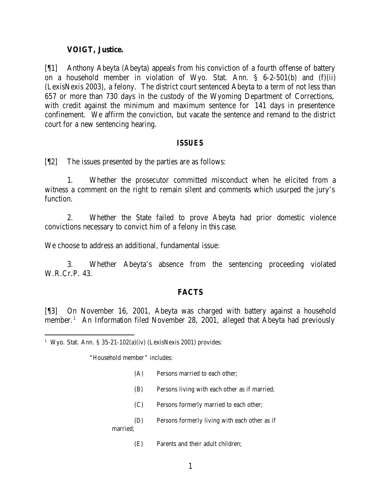#### **VOIGT, Justice.**

[¶1] Anthony Abeyta (Abeyta) appeals from his conviction of a fourth offense of battery on a household member in violation of Wyo. Stat. Ann. § 6-2-501(b) and (f)(ii) (LexisNexis 2003), a felony. The district court sentenced Abeyta to a term of not less than 657 or more than 730 days in the custody of the Wyoming Department of Corrections, with credit against the minimum and maximum sentence for 141 days in presentence confinement. We affirm the conviction, but vacate the sentence and remand to the district court for a new sentencing hearing.

#### *ISSUES*

[¶2] The issues presented by the parties are as follows:

1. Whether the prosecutor committed misconduct when he elicited from a witness a comment on the right to remain silent and comments which usurped the jury's function.

2. Whether the State failed to prove Abeyta had prior domestic violence convictions necessary to convict him of a felony in this case.

We choose to address an additional, fundamental issue:

3. Whether Abeyta's absence from the sentencing proceeding violated W.R.Cr.P. 43.

### **FACTS**

[¶3] On November 16, 2001, Abeyta was charged with battery against a household member.<sup>1</sup> An Information filed November 28, 2001, alleged that Abeyta had previously

"Household member" includes:

- (A) Persons married to each other;
- (B) Persons living with each other as if married;
- (C) Persons formerly married to each other;
- (D) Persons formerly living with each other as if

married;

(E) Parents and their adult children;

<sup>1</sup> Wyo. Stat. Ann. § 35-21-102(a)(iv) (LexisNexis 2001) provides: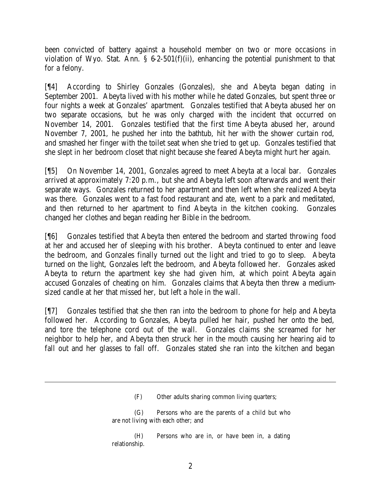been convicted of battery against a household member on two or more occasions in violation of Wyo. Stat. Ann. § 6-2-501(f)(ii), enhancing the potential punishment to that for a felony.

[¶4] According to Shirley Gonzales (Gonzales), she and Abeyta began dating in September 2001. Abeyta lived with his mother while he dated Gonzales, but spent three or four nights a week at Gonzales' apartment. Gonzales testified that Abeyta abused her on two separate occasions, but he was only charged with the incident that occurred on November 14, 2001. Gonzales testified that the first time Abeyta abused her, around November 7, 2001, he pushed her into the bathtub, hit her with the shower curtain rod, and smashed her finger with the toilet seat when she tried to get up. Gonzales testified that she slept in her bedroom closet that night because she feared Abeyta might hurt her again.

[¶5] On November 14, 2001, Gonzales agreed to meet Abeyta at a local bar. Gonzales arrived at approximately 7:20 p.m., but she and Abeyta left soon afterwards and went their separate ways. Gonzales returned to her apartment and then left when she realized Abeyta was there. Gonzales went to a fast food restaurant and ate, went to a park and meditated, and then returned to her apartment to find Abeyta in the kitchen cooking. Gonzales changed her clothes and began reading her Bible in the bedroom.

[¶6] Gonzales testified that Abeyta then entered the bedroom and started throwing food at her and accused her of sleeping with his brother. Abeyta continued to enter and leave the bedroom, and Gonzales finally turned out the light and tried to go to sleep. Abeyta turned on the light, Gonzales left the bedroom, and Abeyta followed her. Gonzales asked Abeyta to return the apartment key she had given him, at which point Abeyta again accused Gonzales of cheating on him. Gonzales claims that Abeyta then threw a mediumsized candle at her that missed her, but left a hole in the wall.

[¶7] Gonzales testified that she then ran into the bedroom to phone for help and Abeyta followed her. According to Gonzales, Abeyta pulled her hair, pushed her onto the bed, and tore the telephone cord out of the wall. Gonzales claims she screamed for her neighbor to help her, and Abeyta then struck her in the mouth causing her hearing aid to fall out and her glasses to fall off. Gonzales stated she ran into the kitchen and began

<sup>(</sup>F) Other adults sharing common living quarters;

<sup>(</sup>G) Persons who are the parents of a child but who are not living with each other; and

<sup>(</sup>H) Persons who are in, or have been in, a dating relationship.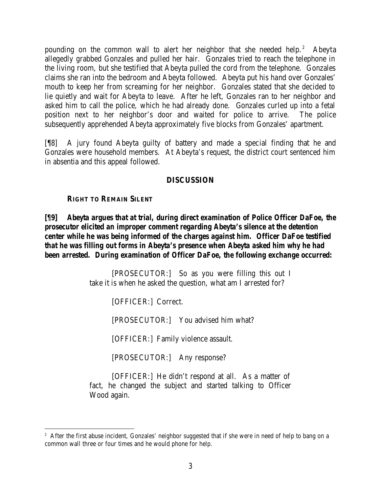pounding on the common wall to alert her neighbor that she needed help.<sup>2</sup> Abeyta allegedly grabbed Gonzales and pulled her hair. Gonzales tried to reach the telephone in the living room, but she testified that Abeyta pulled the cord from the telephone. Gonzales claims she ran into the bedroom and Abeyta followed. Abeyta put his hand over Gonzales' mouth to keep her from screaming for her neighbor. Gonzales stated that she decided to lie quietly and wait for Abeyta to leave. After he left, Gonzales ran to her neighbor and asked him to call the police, which he had already done. Gonzales curled up into a fetal position next to her neighbor's door and waited for police to arrive. The police subsequently apprehended Abeyta approximately five blocks from Gonzales' apartment.

[¶8] A jury found Abeyta guilty of battery and made a special finding that he and Gonzales were household members. At Abeyta's request, the district court sentenced him in absentia and this appeal followed.

## **DISCUSSION**

### **RIGHT TO REMAIN SILENT**

# *[¶9] Abeyta argues that at trial, during direct examination of Police Officer DaFoe, the prosecutor elicited an improper comment regarding Abeyta's silence at the detention center while he was being informed of the charges against him. Officer DaFoe testified that he was filling out forms in Abeyta's presence when Abeyta asked him why he had been arrested. During examination of Officer DaFoe, the following exchange occurred:*

[PROSECUTOR:] So as you were filling this out I take it is when he asked the question, what am I arrested for?

[OFFICER:] Correct.

[PROSECUTOR:] You advised him what?

[OFFICER:] Family violence assault.

[PROSECUTOR:] Any response?

[OFFICER:] He didn't respond at all. As a matter of fact, he changed the subject and started talking to Officer Wood again.

<sup>&</sup>lt;sup>2</sup> After the first abuse incident, Gonzales' neighbor suggested that if she were in need of help to bang on a common wall three or four times and he would phone for help.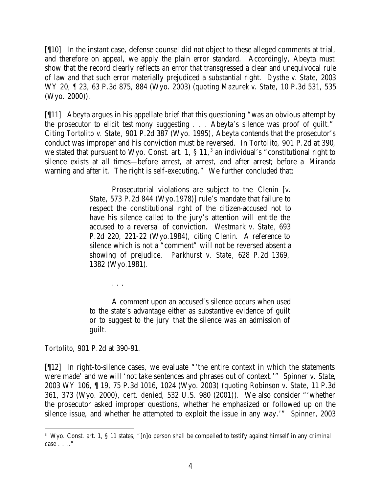[¶10] In the instant case, defense counsel did not object to these alleged comments at trial, and therefore on appeal, we apply the plain error standard. Accordingly, Abeyta must show that the record clearly reflects an error that transgressed a clear and unequivocal rule of law and that such error materially prejudiced a substantial right. *Dysthe v. State,* 2003 WY 20, ¶ 23, 63 P.3d 875, 884 (Wyo. 2003) (*quoting Mazurek v. State*, 10 P.3d 531, 535 (Wyo. 2000)).

[¶11] Abeyta argues in his appellate brief that this questioning "was an obvious attempt by the prosecutor to elicit testimony suggesting . . . Abeyta's silence was proof of guilt." Citing *Tortolito v. State*, 901 P.2d 387 (Wyo. 1995), Abeyta contends that the prosecutor's conduct was improper and his conviction must be reversed. In *Tortolito*, 901 P.2d at 390, we stated that pursuant to Wyo. Const. art. 1,  $\S$  11,<sup>3</sup> an individual's "constitutional right to silence exists at all times—before arrest, at arrest, and after arrest; before a *Miranda* warning and after it. The right is self-executing." We further concluded that:

> Prosecutorial violations are subject to the *Clenin [v. State*, 573 P.2d 844 (Wyo.1978)] rule's mandate that failure to respect the constitutional right of the citizen-accused not to have his silence called to the jury's attention will entitle the accused to a reversal of conviction. *Westmark v. State*, 693 P.2d 220, 221-22 (Wyo.1984), *citing Clenin*. A reference to silence which is not a "comment" will not be reversed absent a showing of prejudice. *Parkhurst v. State*, 628 P.2d 1369, 1382 (Wyo.1981).

A comment upon an accused's silence occurs when used to the state's advantage either as substantive evidence of guilt or to suggest to the jury that the silence was an admission of guilt.

*Tortolito*, 901 P.2d at 390-91.

. . .

[¶12] In right-to-silence cases, we evaluate "'the entire context in which the statements were made' and we will 'not take sentences and phrases out of context.'" *Spinner v. State*, 2003 WY 106, ¶ 19, 75 P.3d 1016, 1024 (Wyo. 2003) (*quoting Robinson v. State*, 11 P.3d 361, 373 (Wyo. 2000), *cert. denied*, 532 U.S. 980 (2001)). We also consider "'whether the prosecutor asked improper questions, whether he emphasized or followed up on the silence issue, and whether he attempted to exploit the issue in any way.'" *Spinner*, 2003

<sup>3</sup> Wyo. Const. art. 1, § 11 states, "[n]o person shall be compelled to testify against himself in any criminal case . . .."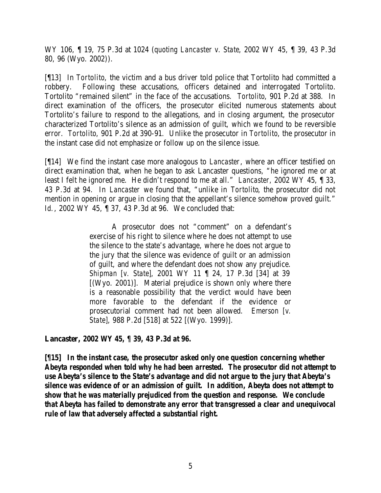WY 106, ¶ 19, 75 P.3d at 1024 (*quoting Lancaster v. State*, 2002 WY 45, ¶ 39, 43 P.3d 80, 96 (Wyo. 2002)).

[¶13] In *Tortolito*, the victim and a bus driver told police that Tortolito had committed a robbery. Following these accusations, officers detained and interrogated Tortolito. Tortolito "remained silent" in the face of the accusations. *Tortolito*, 901 P.2d at 388. In direct examination of the officers, the prosecutor elicited numerous statements about Tortolito's failure to respond to the allegations, and in closing argument, the prosecutor characterized Tortolito's silence as an admission of guilt, which we found to be reversible error. *Tortolito*, 901 P.2d at 390-91. Unlike the prosecutor in *Tortolito*, the prosecutor in the instant case did not emphasize or follow up on the silence issue.

[¶14] We find the instant case more analogous to *Lancaster*, where an officer testified on direct examination that, when he began to ask Lancaster questions, "he ignored me or at least I felt he ignored me. He didn't respond to me at all." *Lancaster,* 2002 WY 45, ¶ 33, 43 P.3d at 94. In *Lancaster* we found that, "unlike in *Tortolito*, the prosecutor did not mention in opening or argue in closing that the appellant's silence somehow proved guilt." *Id.*, 2002 WY 45, ¶ 37, 43 P.3d at 96. We concluded that:

> A prosecutor does not "comment" on a defendant's exercise of his right to silence where he does not attempt to use the silence to the state's advantage, where he does not argue to the jury that the silence was evidence of guilt or an admission of guilt, and where the defendant does not show any prejudice. *Shipman [v. State]*, 2001 WY 11 ¶ 24, 17 P.3d [34] at 39 [(Wyo. 2001)]. Material prejudice is shown only where there is a reasonable possibility that the verdict would have been more favorable to the defendant if the evidence or prosecutorial comment had not been allowed. *Emerson [v. State]*, 988 P.2d [518] at 522 [(Wyo. 1999)].

**Lancaster,** *2002 WY 45, ¶ 39, 43 P.3d at 96.*

*[¶15] In the instant case, the prosecutor asked only one question concerning whether Abeyta responded when told why he had been arrested. The prosecutor did not attempt to use Abeyta's silence to the State's advantage and did not argue to the jury that Abeyta's silence was evidence of or an admission of guilt. In addition, Abeyta does not attempt to show that he was materially prejudiced from the question and response. We conclude that Abeyta has failed to demonstrate any error that transgressed a clear and unequivocal rule of law that adversely affected a substantial right.*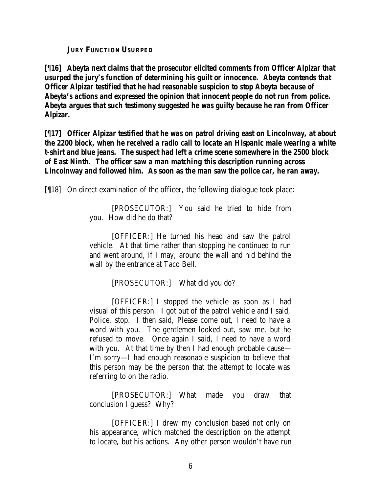**JURY FUNCTION USURPED**

*[¶16] Abeyta next claims that the prosecutor elicited comments from Officer Alpizar that usurped the jury's function of determining his guilt or innocence. Abeyta contends that Officer Alpizar testified that he had reasonable suspicion to stop Abeyta because of Abeyta's actions and expressed the opinion that innocent people do not run from police. Abeyta argues that such testimony suggested he was guilty because he ran from Officer Alpizar.*

*[¶17] Officer Alpizar testified that he was on patrol driving east on Lincolnway, at about the 2200 block, when he received a radio call to locate an Hispanic male wearing a white t-shirt and blue jeans. The suspect had left a crime scene somewhere in the 2500 block of East Ninth. The officer saw a man matching this description running across Lincolnway and followed him. As soon as the man saw the police car, he ran away.*

[¶18] On direct examination of the officer, the following dialogue took place:

[PROSECUTOR:] You said he tried to hide from you. How did he do that?

[OFFICER:] He turned his head and saw the patrol vehicle. At that time rather than stopping he continued to run and went around, if I may, around the wall and hid behind the wall by the entrance at Taco Bell.

[PROSECUTOR:] What did you do?

[OFFICER:] I stopped the vehicle as soon as I had visual of this person. I got out of the patrol vehicle and I said, Police, stop. I then said, Please come out, I need to have a word with you. The gentlemen looked out, saw me, but he refused to move. Once again I said, I need to have a word with you. At that time by then I had enough probable cause— I'm sorry—I had enough reasonable suspicion to believe that this person may be the person that the attempt to locate was referring to on the radio.

[PROSECUTOR:] What made you draw that conclusion I guess? Why?

[OFFICER:] I drew my conclusion based not only on his appearance, which matched the description on the attempt to locate, but his actions. Any other person wouldn't have run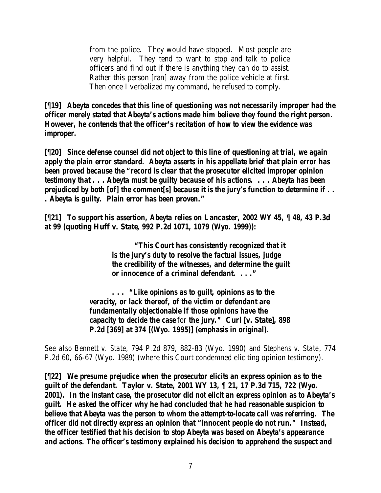from the police. They would have stopped. Most people are very helpful. They tend to want to stop and talk to police officers and find out if there is anything they can do to assist. Rather this person [ran] away from the police vehicle at first. Then once I verbalized my command, he refused to comply.

*[¶19] Abeyta concedes that this line of questioning was not necessarily improper had the officer merely stated that Abeyta's actions made him believe they found the right person. However, he contends that the officer's recitation of how to view the evidence was improper.*

*[¶20] Since defense counsel did not object to this line of questioning at trial, we again apply the plain error standard. Abeyta asserts in his appellate brief that plain error has been proved because the "record is clear that the prosecutor elicited improper opinion testimony that . . . Abeyta must be guilty because of his actions. . . . Abeyta has been prejudiced by both [of] the comment[s] because it is the jury's function to determine if . . . Abeyta is guilty. Plain error has been proven."*

*[¶21] To support his assertion, Abeyta relies on* **Lancaster***, 2002 WY 45, ¶ 48, 43 P.3d at 99 (***quoting Huff v. State***, 992 P.2d 1071, 1079 (Wyo. 1999)):*

> *"This Court has consistently recognized that it is the jury's duty to resolve the factual issues, judge the credibility of the witnesses, and determine the guilt or innocence of a criminal defendant. . . ."*

*. . . "Like opinions as to guilt, opinions as to the veracity, or lack thereof, of the victim or defendant are fundamentally objectionable if those opinions have the capacity to decide the case* for *the jury."* **Curl [v. State]***, 898 P.2d [369] at 374 [(Wyo. 1995)] (emphasis in original).*

*See also Bennett v. State*, 794 P.2d 879, 882-83 (Wyo. 1990) and *Stephens v. State*, 774 P.2d 60, 66-67 (Wyo. 1989) (where this Court condemned eliciting opinion testimony).

*[¶22] We presume prejudice when the prosecutor elicits an express opinion as to the guilt of the defendant.* **Taylor v. State***, 2001 WY 13, ¶ 21, 17 P.3d 715, 722 (Wyo. 2001). In the instant case, the prosecutor did not elicit an express opinion as to Abeyta's guilt. He asked the officer why he had concluded that he had reasonable suspicion to believe that Abeyta was the person to whom the attempt-to-locate call was referring. The officer did not directly express an opinion that "innocent people do not run." Instead, the officer testified that his decision to stop Abeyta was based on Abeyta's appearance and actions. The officer's testimony explained his decision to apprehend the suspect and*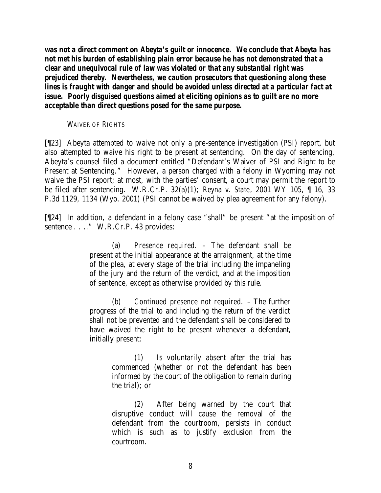*was not a direct comment on Abeyta's guilt or innocence. We conclude that Abeyta has not met his burden of establishing plain error because he has not demonstrated that a clear and unequivocal rule of law was violated or that any substantial right was prejudiced thereby. Nevertheless, we caution prosecutors that questioning along these lines is fraught with danger and should be avoided unless directed at a particular fact at issue. Poorly disguised questions aimed at eliciting opinions as to guilt are no more acceptable than direct questions posed for the same purpose.*

#### *WAIVER OF RIGHTS*

[¶23] Abeyta attempted to waive not only a pre-sentence investigation (PSI) report, but also attempted to waive his right to be present at sentencing. On the day of sentencing, Abeyta's counsel filed a document entitled "Defendant's Waiver of PSI and Right to be Present at Sentencing." However, a person charged with a felony in Wyoming may not waive the PSI report; at most, with the parties' consent, a court may permit the report to be filed after sentencing. W.R.Cr.P. 32(a)(1); *Reyna v. State*, 2001 WY 105, ¶ 16, 33 P.3d 1129, 1134 (Wyo. 2001) (PSI cannot be waived by plea agreement for any felony).

[¶24] In addition, a defendant in a felony case "shall" be present "at the imposition of sentence . . .." W.R.Cr.P. 43 provides:

> (a) *Presence required.* – The defendant shall be present at the initial appearance at the arraignment, at the time of the plea, at every stage of the trial including the impaneling of the jury and the return of the verdict, and at the imposition of sentence, except as otherwise provided by this rule.

> (b) *Continued presence not required.* – The further progress of the trial to and including the return of the verdict shall not be prevented and the defendant shall be considered to have waived the right to be present whenever a defendant, initially present:

> > (1) Is voluntarily absent after the trial has commenced (whether or not the defendant has been informed by the court of the obligation to remain during the trial); or

> > (2) After being warned by the court that disruptive conduct will cause the removal of the defendant from the courtroom, persists in conduct which is such as to justify exclusion from the courtroom.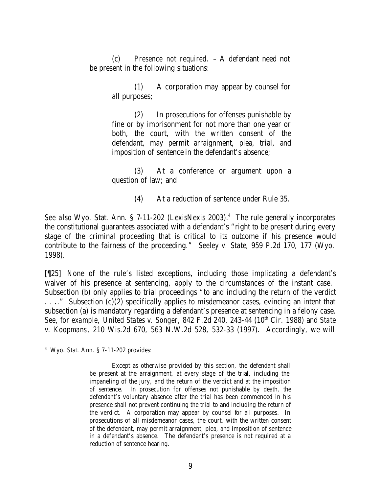(c) *Presence not required.* – A defendant need not be present in the following situations:

> (1) A corporation may appear by counsel for all purposes;

> (2) In prosecutions for offenses punishable by fine or by imprisonment for not more than one year or both, the court, with the written consent of the defendant, may permit arraignment, plea, trial, and imposition of sentence in the defendant's absence;

> (3) At a conference or argument upon a question of law; and

> > (4) At a reduction of sentence under Rule 35.

See also Wyo. Stat. Ann. § 7-11-202 (LexisNexis 2003).<sup>4</sup> The rule generally incorporates the constitutional guarantees associated with a defendant's "right to be present during every stage of the criminal proceeding that is critical to its outcome if his presence would contribute to the fairness of the proceeding." *Seeley v. State*, 959 P.2d 170, 177 (Wyo. 1998).

[¶25] None of the rule's listed exceptions, including those implicating a defendant's waiver of his presence at sentencing, apply to the circumstances of the instant case. Subsection (b) only applies to trial proceedings "to and including the return of the verdict . . .." Subsection (c)(2) specifically applies to misdemeanor cases, evincing an intent that subsection (a) is mandatory regarding a defendant's presence at sentencing in a felony case. *See, for example, United States v. Songer*, 842 F.2d 240, 243-44 (10<sup>th</sup> Cir. 1988) and *State v. Koopmans*, 210 Wis.2d 670, 563 N.W.2d 528, 532-33 (1997). Accordingly, we will

<sup>4</sup> Wyo. Stat. Ann. § 7-11-202 provides:

Except as otherwise provided by this section, the defendant shall be present at the arraignment, at every stage of the trial, including the impaneling of the jury, and the return of the verdict and at the imposition of sentence. In prosecution for offenses not punishable by death, the defendant's voluntary absence after the trial has been commenced in his presence shall not prevent continuing the trial to and including the return of the verdict. A corporation may appear by counsel for all purposes. In prosecutions of all misdemeanor cases, the court, with the written consent of the defendant, may permit arraignment, plea, and imposition of sentence in a defendant's absence. The defendant's presence is not required at a reduction of sentence hearing.